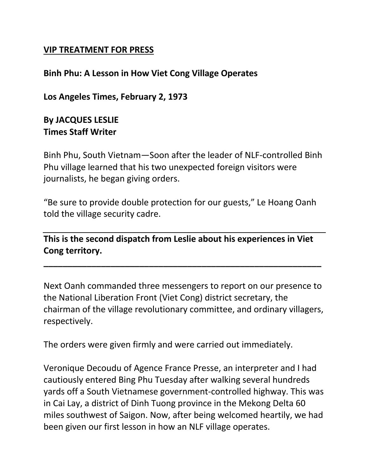## **VIP TREATMENT FOR PRESS**

## **Binh Phu: A Lesson in How Viet Cong Village Operates**

**Los Angeles Times, February 2, 1973**

## **By JACQUES LESLIE Times Staff Writer**

Binh Phu, South Vietnam—Soon after the leader of NLF-controlled Binh Phu village learned that his two unexpected foreign visitors were journalists, he began giving orders.

"Be sure to provide double protection for our guests," Le Hoang Oanh told the village security cadre.

**This is the second dispatch from Leslie about his experiences in Viet Cong territory.**

**\_\_\_\_\_\_\_\_\_\_\_\_\_\_\_\_\_\_\_\_\_\_\_\_\_\_\_\_\_\_\_\_\_\_\_\_\_\_\_\_\_\_\_\_\_\_\_\_\_\_\_\_\_\_\_\_\_\_**

Next Oanh commanded three messengers to report on our presence to the National Liberation Front (Viet Cong) district secretary, the chairman of the village revolutionary committee, and ordinary villagers, respectively.

The orders were given firmly and were carried out immediately.

Veronique Decoudu of Agence France Presse, an interpreter and I had cautiously entered Bing Phu Tuesday after walking several hundreds yards off a South Vietnamese government-controlled highway. This was in Cai Lay, a district of Dinh Tuong province in the Mekong Delta 60 miles southwest of Saigon. Now, after being welcomed heartily, we had been given our first lesson in how an NLF village operates.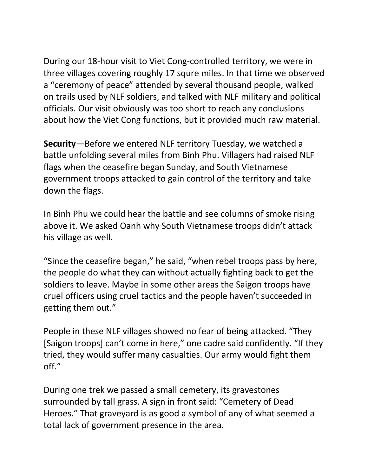During our 18-hour visit to Viet Cong-controlled territory, we were in three villages covering roughly 17 squre miles. In that time we observed a "ceremony of peace" attended by several thousand people, walked on trails used by NLF soldiers, and talked with NLF military and political officials. Our visit obviously was too short to reach any conclusions about how the Viet Cong functions, but it provided much raw material.

**Security**—Before we entered NLF territory Tuesday, we watched a battle unfolding several miles from Binh Phu. Villagers had raised NLF flags when the ceasefire began Sunday, and South Vietnamese government troops attacked to gain control of the territory and take down the flags.

In Binh Phu we could hear the battle and see columns of smoke rising above it. We asked Oanh why South Vietnamese troops didn't attack his village as well.

"Since the ceasefire began," he said, "when rebel troops pass by here, the people do what they can without actually fighting back to get the soldiers to leave. Maybe in some other areas the Saigon troops have cruel officers using cruel tactics and the people haven't succeeded in getting them out."

People in these NLF villages showed no fear of being attacked. "They [Saigon troops] can't come in here," one cadre said confidently. "If they tried, they would suffer many casualties. Our army would fight them off."

During one trek we passed a small cemetery, its gravestones surrounded by tall grass. A sign in front said: "Cemetery of Dead Heroes." That graveyard is as good a symbol of any of what seemed a total lack of government presence in the area.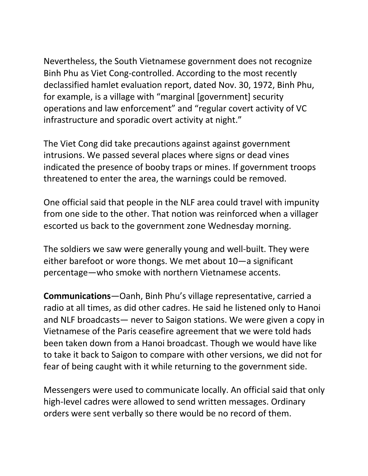Nevertheless, the South Vietnamese government does not recognize Binh Phu as Viet Cong-controlled. According to the most recently declassified hamlet evaluation report, dated Nov. 30, 1972, Binh Phu, for example, is a village with "marginal [government] security operations and law enforcement" and "regular covert activity of VC infrastructure and sporadic overt activity at night."

The Viet Cong did take precautions against against government intrusions. We passed several places where signs or dead vines indicated the presence of booby traps or mines. If government troops threatened to enter the area, the warnings could be removed.

One official said that people in the NLF area could travel with impunity from one side to the other. That notion was reinforced when a villager escorted us back to the government zone Wednesday morning.

The soldiers we saw were generally young and well-built. They were either barefoot or wore thongs. We met about 10—a significant percentage—who smoke with northern Vietnamese accents.

**Communications**—Oanh, Binh Phu's village representative, carried a radio at all times, as did other cadres. He said he listened only to Hanoi and NLF broadcasts— never to Saigon stations. We were given a copy in Vietnamese of the Paris ceasefire agreement that we were told hads been taken down from a Hanoi broadcast. Though we would have like to take it back to Saigon to compare with other versions, we did not for fear of being caught with it while returning to the government side.

Messengers were used to communicate locally. An official said that only high-level cadres were allowed to send written messages. Ordinary orders were sent verbally so there would be no record of them.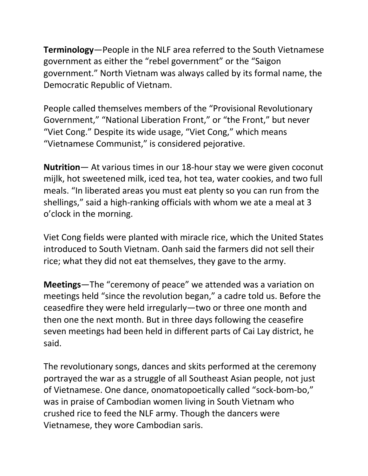**Terminology**—People in the NLF area referred to the South Vietnamese government as either the "rebel government" or the "Saigon government." North Vietnam was always called by its formal name, the Democratic Republic of Vietnam.

People called themselves members of the "Provisional Revolutionary Government," "National Liberation Front," or "the Front," but never "Viet Cong." Despite its wide usage, "Viet Cong," which means "Vietnamese Communist," is considered pejorative.

**Nutrition**— At various times in our 18-hour stay we were given coconut mijlk, hot sweetened milk, iced tea, hot tea, water cookies, and two full meals. "In liberated areas you must eat plenty so you can run from the shellings," said a high-ranking officials with whom we ate a meal at 3 o'clock in the morning.

Viet Cong fields were planted with miracle rice, which the United States introduced to South Vietnam. Oanh said the farmers did not sell their rice; what they did not eat themselves, they gave to the army.

**Meetings**—The "ceremony of peace" we attended was a variation on meetings held "since the revolution began," a cadre told us. Before the ceasedfire they were held irregularly—two or three one month and then one the next month. But in three days following the ceasefire seven meetings had been held in different parts of Cai Lay district, he said.

The revolutionary songs, dances and skits performed at the ceremony portrayed the war as a struggle of all Southeast Asian people, not just of Vietnamese. One dance, onomatopoetically called "sock-bom-bo," was in praise of Cambodian women living in South Vietnam who crushed rice to feed the NLF army. Though the dancers were Vietnamese, they wore Cambodian saris.